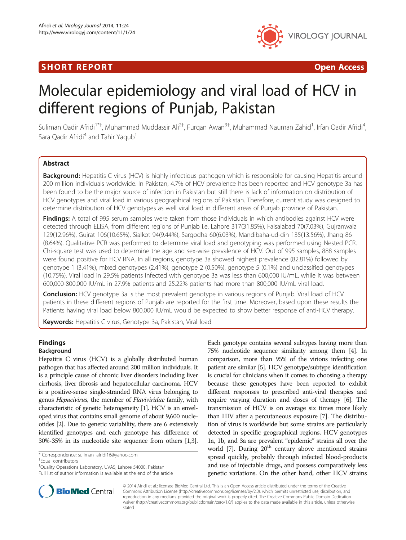## I SHORT REPORT AND THE RESERVE EXPLORER TO A SHOP OPEN ACCESS.



# Molecular epidemiology and viral load of HCV in different regions of Punjab, Pakistan

Suliman Qadir Afridi<sup>1\*†</sup>, Muhammad Muddassir Ali<sup>2†</sup>, Furqan Awan<sup>3†</sup>, Muhammad Nauman Zahid<sup>1</sup>, Irfan Qadir Afridi<sup>4</sup> , Sara Qadir Afridi<sup>4</sup> and Tahir Yaqub<sup>1</sup>

## Abstract

Background: Hepatitis C virus (HCV) is highly infectious pathogen which is responsible for causing Hepatitis around 200 million individuals worldwide. In Pakistan, 4.7% of HCV prevalence has been reported and HCV genotype 3a has been found to be the major source of infection in Pakistan but still there is lack of information on distribution of HCV genotypes and viral load in various geographical regions of Pakistan. Therefore, current study was designed to determine distribution of HCV genotypes as well viral load in different areas of Punjab province of Pakistan.

Findings: A total of 995 serum samples were taken from those individuals in which antibodies against HCV were detected through ELISA, from different regions of Punjab i.e. Lahore 317(31.85%), Faisalabad 70(7.03%), Gujranwala 129(12.96%), Gujrat 106(10.65%), Sialkot 94(9.44%), Sargodha 60(6.03%), Mandibaha-ud-din 135(13.56%), Jhang 86 (8.64%). Qualitative PCR was performed to determine viral load and genotyping was performed using Nested PCR. Chi-square test was used to determine the age and sex-wise prevalence of HCV. Out of 995 samples, 888 samples were found positive for HCV RNA. In all regions, genotype 3a showed highest prevalence (82.81%) followed by genotype 1 (3.41%), mixed genotypes (2.41%), genotype 2 (0.50%), genotype 5 (0.1%) and unclassified genotypes (10.75%). Viral load in 29.5% patients infected with genotype 3a was less than 600,000 IU/mL, while it was between 600,000-800,000 IU/mL in 27.9% patients and 25.22% patients had more than 800,000 IU/mL viral load.

Conclusion: HCV genotype 3a is the most prevalent genotype in various regions of Punjab. Viral load of HCV patients in these different regions of Punjab are reported for the first time. Moreover, based upon these results the Patients having viral load below 800,000 IU/mL would be expected to show better response of anti-HCV therapy.

Keywords: Hepatitis C virus, Genotype 3a, Pakistan, Viral load

## Findings

## Background

Hepatitis C virus (HCV) is a globally distributed human pathogen that has affected around 200 million individuals. It is a principle cause of chronic liver disorders including liver cirrhosis, liver fibrosis and hepatocellular carcinoma. HCV is a positive-sense single-stranded RNA virus belonging to genus Hepacivirus, the member of Flaviviridae family, with characteristic of genetic heterogeneity [\[1](#page-4-0)]. HCV is an enveloped virus that contains small genome of about 9,600 nucleotides [[2](#page-4-0)]. Due to genetic variability, there are 6 extensively identified genotypes and each genotype has difference of 30%-35% in its nucleotide site sequence from others [\[1,3](#page-4-0)].

<sup>†</sup>Equal contributors

<sup>1</sup>Quality Operations Laboratory, UVAS, Lahore 54000, Pakistan Full list of author information is available at the end of the article Each genotype contains several subtypes having more than 75% nucleotide sequence similarity among them [\[4\]](#page-4-0). In comparison, more than 95% of the virions infecting one patient are similar [\[5\]](#page-4-0). HCV genotype/subtype identification is crucial for clinicians when it comes to choosing a therapy because these genotypes have been reported to exhibit different responses to prescribed anti-viral therapies and require varying duration and doses of therapy [[6](#page-4-0)]. The transmission of HCV is on average six times more likely than HIV after a percutaneous exposure [[7](#page-4-0)]. The distribution of virus is worldwide but some strains are particularly detected in specific geographical regions. HCV genotypes 1a, 1b, and 3a are prevalent "epidemic" strains all over the world  $[7]$  $[7]$ . During  $20<sup>th</sup>$  century above mentioned strains spread quickly, probably through infected blood-products and use of injectable drugs, and possess comparatively less genetic variations. On the other hand, other HCV strains



© 2014 Afridi et al.; licensee BioMed Central Ltd. This is an Open Access article distributed under the terms of the Creative Commons Attribution License [\(http://creativecommons.org/licenses/by/2.0\)](http://creativecommons.org/licenses/by/2.0), which permits unrestricted use, distribution, and reproduction in any medium, provided the original work is properly cited. The Creative Commons Public Domain Dedication waiver [\(http://creativecommons.org/publicdomain/zero/1.0/\)](http://creativecommons.org/publicdomain/zero/1.0/) applies to the data made available in this article, unless otherwise stated.

<sup>\*</sup> Correspondence: [suliman\\_afridi16@yahoo.com](mailto:suliman_afridi16@yahoo.com) †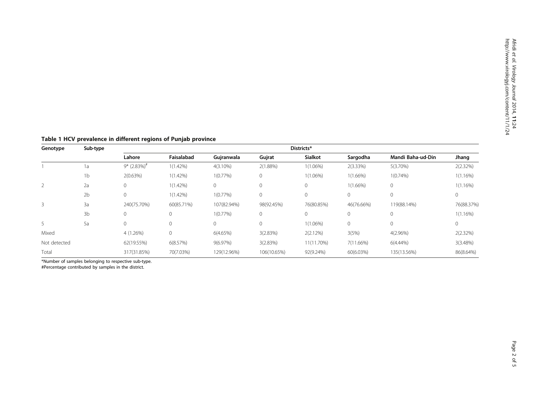| Genotype     | Sub-type       | Districts*                |             |             |             |                |              |                   |             |
|--------------|----------------|---------------------------|-------------|-------------|-------------|----------------|--------------|-------------------|-------------|
|              |                | Lahore                    | Faisalabad  | Gujranwala  | Gujrat      | <b>Sialkot</b> | Sargodha     | Mandi Baha-ud-Din | Jhang       |
|              | 1a             | $9*$ (2.83%) <sup>#</sup> | $1(1.42\%)$ | $4(3.10\%)$ | $2(1.88\%)$ | $1(1.06\%)$    | $2(3.33\%)$  | $5(3.70\%)$       | 2(2.32%)    |
|              | 1 <sub>b</sub> | 2(0.63%)                  | $1(1.42\%)$ | $1(0.77\%)$ | $\Omega$    | $1(1.06\%)$    | $1(1.66\%)$  | $1(0.74\%)$       | $1(1.16\%)$ |
|              | 2a             | 0                         | $1(1.42\%)$ | $\circ$     |             | $\mathbf{0}$   | $1(1.66\%)$  | $\mathbf{0}$      | $1(1.16\%)$ |
|              | 2 <sub>b</sub> | 0                         | $1(1.42\%)$ | $1(0.77\%)$ | $\mathbf 0$ | $\mathbf 0$    | 0            | 0                 | 0           |
| 3            | 3a             | 240(75.70%)               | 60(85.71%)  | 107(82.94%) | 98(92.45%)  | 76(80.85%)     | 46(76.66%)   | 119(88.14%)       | 76(88.37%)  |
|              | 3b             | $\mathbf{0}$              | $\circ$     | $1(0.77\%)$ | $\mathbf 0$ | $\circ$        | 0            | $\mathbf{0}$      | $1(1.16\%)$ |
|              | 5a             | $\Omega$                  | $\circ$     | $\circ$     | $\Omega$    | $1(1.06\%)$    | $\mathbf{0}$ | $\Omega$          | 0           |
| Mixed        |                | 4 (1.26%)                 | 0           | 6(4.65%)    | 3(2.83%)    | 2(2.12%)       | 3(5%)        | $4(2.96\%)$       | 2(2.32%)    |
| Not detected |                | 62(19.55%)                | 6(8.57%)    | 9(6.97%)    | 3(2.83%)    | 11(11.70%)     | 7(11.66%)    | $6(4.44\%)$       | 3(3.48%)    |
| Total        |                | 317(31.85%)               | 70(7.03%)   | 129(12.96%) | 106(10.65%) | 92(9.24%)      | 60(6.03%)    | 135(13.56%)       | 86(8.64%)   |

<span id="page-1-0"></span>Table 1 HCV prevalence in different regions of Punjab province

\*Number of samples belonging to respective sub-type.

#Percentage contributed by samples in the district.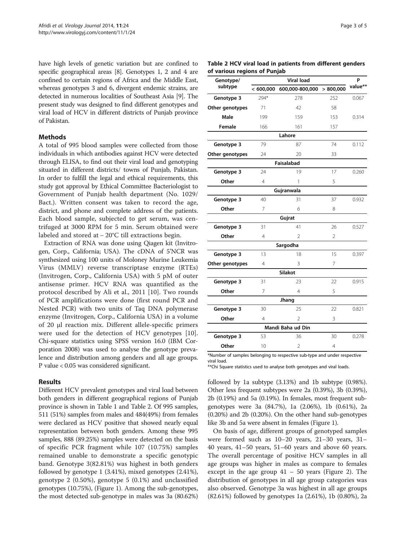<span id="page-2-0"></span>have high levels of genetic variation but are confined to specific geographical areas [\[8\]](#page-4-0). Genotypes 1, 2 and 4 are confined to certain regions of Africa and the Middle East, whereas genotypes 3 and 6, divergent endemic strains, are detected in numerous localities of Southeast Asia [[9](#page-4-0)]. The present study was designed to find different genotypes and viral load of HCV in different districts of Punjab province of Pakistan.

## **Methods**

A total of 995 blood samples were collected from those individuals in which antibodies against HCV were detected through ELISA, to find out their viral load and genotyping situated in different districts/ towns of Punjab, Pakistan. In order to fulfill the legal and ethical requirements, this study got approval by Ethical Committee Bacteriologist to Government of Punjab health department (No. 1029/ Bact.). Written consent was taken to record the age, district, and phone and complete address of the patients. Each blood sample, subjected to get serum, was centrifuged at 3000 RPM for 5 min. Serum obtained were labeled and stored at − 20°C till extractions begin.

Extraction of RNA was done using Qiagen kit (Invitrogen, Corp., California; USA). The cDNA of 5'NCR was synthesized using 100 units of Moloney Murine Leukemia Virus (MMLV) reverse transcriptase enzyme (RTEs) (Invitrogen, Corp., California USA) with 5 pM of outer antisense primer. HCV RNA was quantified as the protocol described by Ali et al., 2011 [\[10](#page-4-0)]. Two rounds of PCR amplifications were done (first round PCR and Nested PCR) with two units of Taq DNA polymerase enzyme (Invitrogen, Corp., California USA) in a volume of 20 μl reaction mix. Different allele-specific primers were used for the detection of HCV genotypes [\[10](#page-4-0)]. Chi-square statistics using SPSS version 16.0 (IBM Corporation 2008) was used to analyse the genotype prevalence and distribution among genders and all age groups. P value < 0.05 was considered significant.

## Results

Different HCV prevalent genotypes and viral load between both genders in different geographical regions of Punjab province is shown in Table [1](#page-1-0) and Table 2. Of 995 samples, 511 (51%) samples from males and 484(49%) from females were declared as HCV positive that showed nearly equal representation between both genders. Among these 995 samples, 888 (89.25%) samples were detected on the basis of specific PCR fragment while 107 (10.75%) samples remained unable to demonstrate a specific genotypic band. Genotype 3(82.81%) was highest in both genders followed by genotype 1 (3.41%), mixed genotypes (2.41%), genotype 2 (0.50%), genotype 5 (0.1%) and unclassified genotypes (10.75%), (Figure [1\)](#page-3-0). Among the sub-genotypes, the most detected sub-genotype in males was 3a (80.62%)

| Page | $\sim$ 5 $\prime$ | nt |  |
|------|-------------------|----|--|
|------|-------------------|----|--|

Table 2 HCV viral load in patients from different genders of various regions of Punjab

| Genotype/       |                | P                 |                |         |
|-----------------|----------------|-------------------|----------------|---------|
| subtype         | < 600,000      | 600,000-800,000   | > 800,000      | value** |
| Genotype 3      | 294*           | 278               | 252            | 0.067   |
| Other genotypes | 71             | 42                | 58             |         |
| Male            | 199            | 159               | 153            | 0.314   |
| Female          | 166            | 161               | 157            |         |
|                 |                | Lahore            |                |         |
| Genotype 3      | 79             | 87                | 74             | 0.112   |
| Other genotypes | 24             | 20                | 33             |         |
|                 |                | Faisalabad        |                |         |
| Genotype 3      | 24             | 19                | 17             | 0.260   |
| Other           | 4              | 1                 | 5              |         |
|                 |                | Gujranwala        |                |         |
| Genotype 3      | 40             | 31                | 37             | 0.932   |
| Other           | $\overline{7}$ | 6                 | 8              |         |
|                 |                | Gujrat            |                |         |
| Genotype 3      | 31             | 41                | 26             | 0.527   |
| Other           | 4              | $\mathfrak{D}$    | $\overline{2}$ |         |
|                 |                | Sargodha          |                |         |
| Genotype 3      | 13             | 18                | 15             | 0.397   |
| Other genotypes | 4              | 3                 | 7              |         |
|                 |                | <b>Silakot</b>    |                |         |
| Genotype 3      | 31             | 23                | 22             | 0.915   |
| Other           | 7              | 4                 | 5              |         |
|                 |                | Jhang             |                |         |
| Genotype 3      | 30             | 25                | 22             | 0.821   |
| Other           | 4              | $\mathfrak{D}$    | 3              |         |
|                 |                | Mandi Baha ud Din |                |         |
| Genotype 3      | 53             | 36                | 30             | 0.278   |
| Other           | 10             | $\overline{2}$    | 4              |         |
|                 |                |                   |                |         |

\*Number of samples belonging to respective sub-type and under respective viral load.

\*\*Chi Square statistics used to analyse both genotypes and viral loads.

followed by 1a subtype (3.13%) and 1b subtype (0.98%). Other less frequent subtypes were 2a (0.39%), 3b (0.39%), 2b (0.19%) and 5a (0.19%). In females, most frequent subgenotypes were 3a (84.7%), 1a (2.06%), 1b (0.61%), 2a (0.20%) and 2b (0.20%). On the other hand sub-genotypes like 3b and 5a were absent in females (Figure [1\)](#page-3-0).

On basis of age, different groups of genotyped samples were formed such as 10–20 years, 21–30 years, 31– 40 years, 41–50 years, 51–60 years and above 60 years. The overall percentage of positive HCV samples in all age groups was higher in males as compare to females except in the age group  $41 - 50$  years (Figure [2\)](#page-3-0). The distribution of genotypes in all age group categories was also observed. Genotype 3a was highest in all age groups (82.61%) followed by genotypes 1a (2.61%), 1b (0.80%), 2a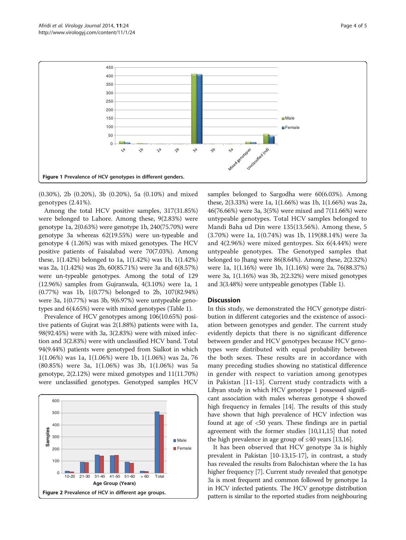<span id="page-3-0"></span>

(0.30%), 2b (0.20%), 3b (0.20%), 5a (0.10%) and mixed genotypes (2.41%).

Among the total HCV positive samples, 317(31.85%) were belonged to Lahore. Among these, 9(2.83%) were genotype 1a, 2(0.63%) were genotype 1b, 240(75.70%) were genotype 3a whereas 62(19.55%) were un-typeable and genotype 4 (1.26%) was with mixed genotypes. The HCV positive patients of Faisalabad were 70(7.03%). Among these, 1(1.42%) belonged to 1a, 1(1.42%) was 1b, 1(1.42%) was 2a, 1(1.42%) was 2b, 60(85.71%) were 3a and 6(8.57%) were un-typeable genotypes. Among the total of 129 (12.96%) samples from Gujranwala, 4(3.10%) were 1a, 1 (0.77%) was 1b, 1(0.77%) belonged to 2b, 107(82.94%) were 3a, 1(0.77%) was 3b, 9(6.97%) were untypeable genotypes and 6(4.65%) were with mixed genotypes (Table [1\)](#page-1-0).

Prevalence of HCV genotypes among 106(10.65%) positive patients of Gujrat was 2(1.88%) patients were with 1a, 98(92.45%) were with 3a, 3(2.83%) were with mixed infection and 3(2.83%) were with unclassified HCV band. Total 94(9.44%) patients were genotyped from Sialkot in which 1(1.06%) was 1a, 1(1.06%) were 1b, 1(1.06%) was 2a, 76 (80.85%) were 3a, 1(1.06%) was 3b, 1(1.06%) was 5a genotype, 2(2.12%) were mixed genotypes and 11(11.70%) were unclassified genotypes. Genotyped samples HCV



samples belonged to Sargodha were 60(6.03%). Among these, 2(3.33%) were 1a, 1(1.66%) was 1b, 1(1.66%) was 2a, 46(76.66%) were 3a, 3(5%) were mixed and 7(11.66%) were untypeable genotypes. Total HCV samples belonged to Mandi Baha ud Din were 135(13.56%). Among these, 5 (3.70%) were 1a, 1(0.74%) was 1b, 119(88.14%) were 3a and 4(2.96%) were mixed gentoypes. Six 6(4.44%) were untypeable genotypes. The Genotyped samples that belonged to Jhang were 86(8.64%). Among these, 2(2.32%) were 1a, 1(1.16%) were 1b, 1(1.16%) were 2a, 76(88.37%) were 3a, 1(1.16%) was 3b, 2(2.32%) were mixed genotypes and 3(3.48%) were untypeable genotypes (Table [1](#page-1-0)).

## **Discussion**

In this study, we demonstrated the HCV genotype distribution in different categories and the existence of association between genotypes and gender. The current study evidently depicts that there is no significant difference between gender and HCV genotypes because HCV genotypes were distributed with equal probability between the both sexes. These results are in accordance with many preceding studies showing no statistical difference in gender with respect to variation among genotypes in Pakistan [[11-13\]](#page-4-0). Current study contradicts with a Libyan study in which HCV genotype 1 possessed significant association with males whereas genotype 4 showed high frequency in females [\[14\]](#page-4-0). The results of this study have shown that high prevalence of HCV infection was found at age of <50 years. These findings are in partial agreement with the former studies [[10,11,15\]](#page-4-0) that noted the high prevalence in age group of  $\leq 40$  years [[13,16\]](#page-4-0).

It has been observed that HCV genotype 3a is highly prevalent in Pakistan [[10](#page-4-0)-[13,15-17](#page-4-0)], in contrast, a study has revealed the results from Balochistan where the 1a has higher frequency [[7](#page-4-0)]. Current study revealed that genotype 3a is most frequent and common followed by genotype 1a in HCV infected patients. The HCV genotype distribution pattern is similar to the reported studies from neighbouring